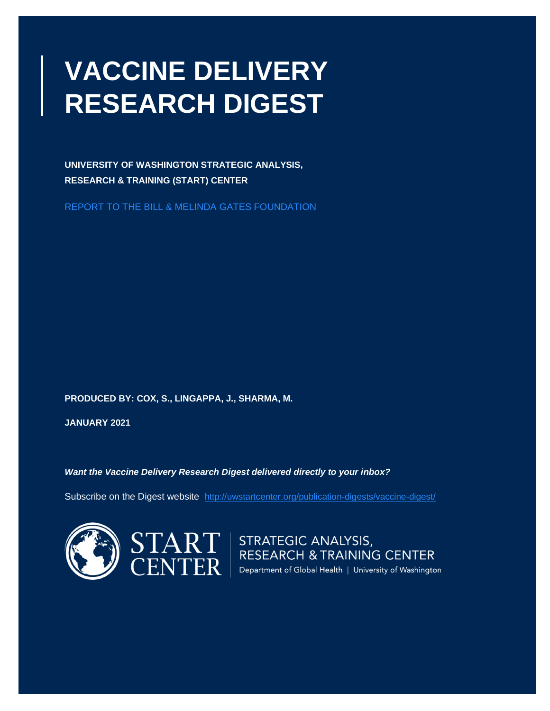# **VACCINE DELIVERY RESEARCH DIGEST**

**UNIVERSITY OF WASHINGTON STRATEGIC ANALYSIS, RESEARCH & TRAINING (START) CENTER** 

REPORT TO THE BILL & MELINDA GATES FOUNDATION

**PRODUCED BY: COX, S., LINGAPPA, J., SHARMA, M.**

**JANUARY 2021**

*Want the Vaccine Delivery Research Digest delivered directly to your inbox?*

Subscribe on the Digest website: <http://uwstartcenter.org/publication-digests/vaccine-digest/>



 $\left\lceil \text{ART} \atop \text{RESEARCH & \text{TRAINING CENTER}} \right\rceil$  RESEARCH & TRAINING CENTER<br>CNTER Pepartment of Global Health | University of Washington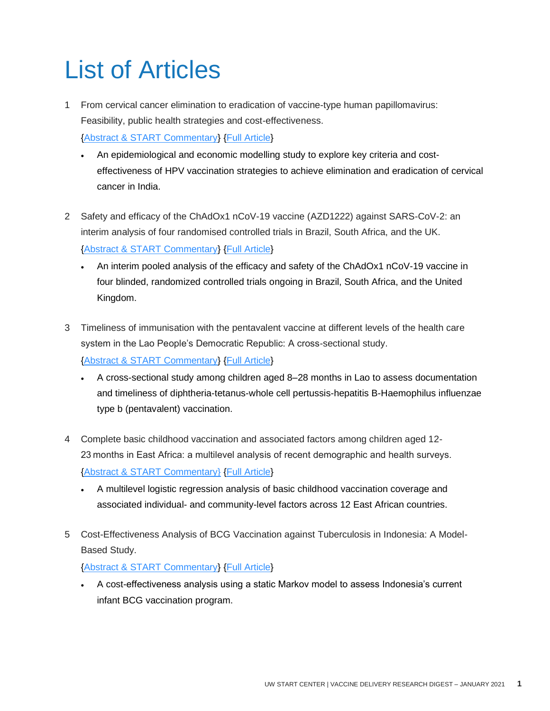# <span id="page-1-0"></span>List of Articles

1 From cervical cancer elimination to eradication of vaccine-type human papillomavirus: Feasibility, public health strategies and cost-effectiveness.

[{Abstract & START Commentary}](#page-3-0) [{Full Article}](http://doi.org/10.1016/j.ypmed.2020.106354)

- An epidemiological and economic modelling study to explore key criteria and costeffectiveness of HPV vaccination strategies to achieve elimination and eradication of cervical cancer in India.
- 2 Safety and efficacy of the ChAdOx1 nCoV-19 vaccine (AZD1222) against SARS-CoV-2: an interim analysis of four randomised controlled trials in Brazil, South Africa, and the UK. [{Abstract & START Commentary}](#page-5-0) [{Full Article}](http://doi.org/10.1016/S0140-6736(20)32661-1)
	- An interim pooled analysis of the efficacy and safety of the ChAdOx1 nCoV-19 vaccine in four blinded, randomized controlled trials ongoing in Brazil, South Africa, and the United Kingdom.
- 3 Timeliness of immunisation with the pentavalent vaccine at different levels of the health care system in the Lao People's Democratic Republic: A cross-sectional study. [{Abstract & START Commentary}](#page-8-0) [{Full Article}](http://doi.org/10.1371/journal.pone.0242502)
	- A cross-sectional study among children aged 8–28 months in Lao to assess documentation and timeliness of diphtheria-tetanus-whole cell pertussis-hepatitis B-Haemophilus influenzae type b (pentavalent) vaccination.
- 4 Complete basic childhood vaccination and associated factors among children aged 12- 23 months in East Africa: a multilevel analysis of recent demographic and health surveys. [{Abstract & START Commentary}](#page-1-0) [{Full Article}](http://doi.org/10.1186/s12889-020-09965-y)
	- A multilevel logistic regression analysis of basic childhood vaccination coverage and associated individual- and community-level factors across 12 East African countries.
- 5 Cost-Effectiveness Analysis of BCG Vaccination against Tuberculosis in Indonesia: A Model-Based Study.

[{Abstract & START Commentary}](#page-13-0) [{Full Article}](http://doi.org/10.3390/vaccines8040707)

• A cost-effectiveness analysis using a static Markov model to assess Indonesia's current infant BCG vaccination program.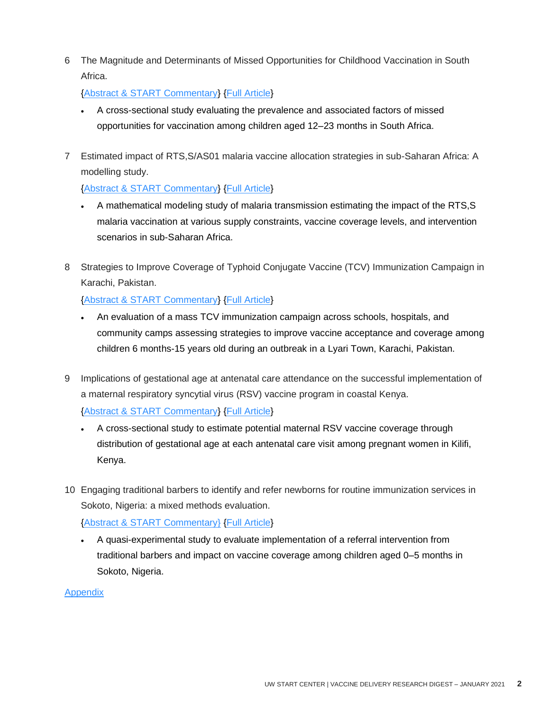6 The Magnitude and Determinants of Missed Opportunities for Childhood Vaccination in South Africa.

[{Abstract & START Commentary}](#page-15-0) [{Full Article}](http://doi.org/10.3390/vaccines8040705)

- A cross-sectional study evaluating the prevalence and associated factors of missed opportunities for vaccination among children aged 12–23 months in South Africa.
- 7 Estimated impact of RTS,S/AS01 malaria vaccine allocation strategies in sub-Saharan Africa: A modelling study.

#### [{Abstract & START Commentary}](#page-17-0) [{Full Article}](http://doi.org/10.1371/journal.pmed.1003377)

- A mathematical modeling study of malaria transmission estimating the impact of the RTS,S malaria vaccination at various supply constraints, vaccine coverage levels, and intervention scenarios in sub-Saharan Africa.
- 8 Strategies to Improve Coverage of Typhoid Conjugate Vaccine (TCV) Immunization Campaign in Karachi, Pakistan.

[{Abstract & START Commentary}](#page-20-0) [{Full Article}](http://doi.org/10.3390/vaccines8040697)

- An evaluation of a mass TCV immunization campaign across schools, hospitals, and community camps assessing strategies to improve vaccine acceptance and coverage among children 6 months-15 years old during an outbreak in a Lyari Town, Karachi, Pakistan.
- 9 Implications of gestational age at antenatal care attendance on the successful implementation of a maternal respiratory syncytial virus (RSV) vaccine program in coastal Kenya.

[{Abstract & START Commentary}](#page-22-0) [{Full Article}](http://doi.org/10.1186/s12889-020-09841-9)

- A cross-sectional study to estimate potential maternal RSV vaccine coverage through distribution of gestational age at each antenatal care visit among pregnant women in Kilifi, Kenya.
- 10 Engaging traditional barbers to identify and refer newborns for routine immunization services in Sokoto, Nigeria: a mixed methods evaluation.

[{Abstract & START Commentary}](#page-1-0) [{Full Article}](http://doi.org/10.1007/s00038-020-01518-9)

• A quasi-experimental study to evaluate implementation of a referral intervention from traditional barbers and impact on vaccine coverage among children aged 0–5 months in Sokoto, Nigeria.

#### **Appendix**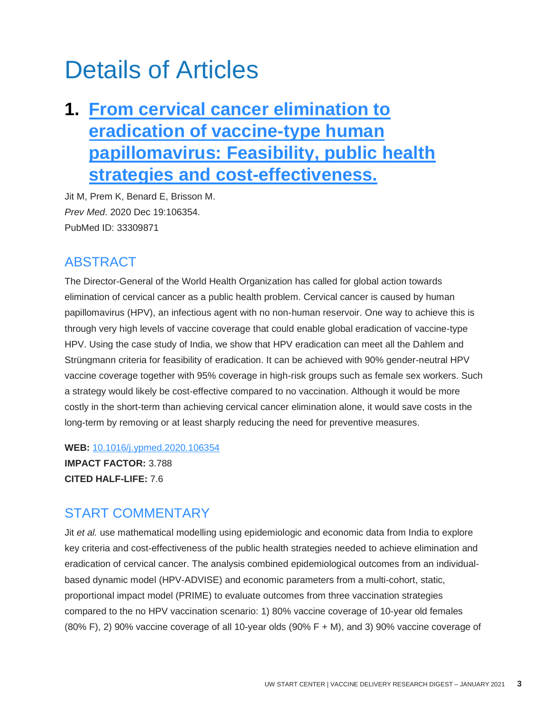# Details of Articles

## <span id="page-3-0"></span>**1. [From cervical cancer elimination to](http://doi.org/10.1016/j.ypmed.2020.106354)  [eradication of vaccine-type human](http://doi.org/10.1016/j.ypmed.2020.106354)  [papillomavirus: Feasibility, public health](http://doi.org/10.1016/j.ypmed.2020.106354)  [strategies and cost-effectiveness.](http://doi.org/10.1016/j.ypmed.2020.106354)**

Jit M, Prem K, Benard E, Brisson M. *Prev Med*. 2020 Dec 19:106354. PubMed ID: 33309871

### ABSTRACT

The Director-General of the World Health Organization has called for global action towards elimination of cervical cancer as a public health problem. Cervical cancer is caused by human papillomavirus (HPV), an infectious agent with no non-human reservoir. One way to achieve this is through very high levels of vaccine coverage that could enable global eradication of vaccine-type HPV. Using the case study of India, we show that HPV eradication can meet all the Dahlem and Strüngmann criteria for feasibility of eradication. It can be achieved with 90% gender-neutral HPV vaccine coverage together with 95% coverage in high-risk groups such as female sex workers. Such a strategy would likely be cost-effective compared to no vaccination. Although it would be more costly in the short-term than achieving cervical cancer elimination alone, it would save costs in the long-term by removing or at least sharply reducing the need for preventive measures.

**WEB:** [10.1016/j.ypmed.2020.106354](http://doi.org/10.1016/j.ypmed.2020.106354)

**IMPACT FACTOR:** 3.788 **CITED HALF-LIFE:** 7.6

### START COMMENTARY

Jit *et al.* use mathematical modelling using epidemiologic and economic data from India to explore key criteria and cost-effectiveness of the public health strategies needed to achieve elimination and eradication of cervical cancer. The analysis combined epidemiological outcomes from an individualbased dynamic model (HPV-ADVISE) and economic parameters from a multi-cohort, static, proportional impact model (PRIME) to evaluate outcomes from three vaccination strategies compared to the no HPV vaccination scenario: 1) 80% vaccine coverage of 10-year old females (80% F), 2) 90% vaccine coverage of all 10-year olds (90% F + M), and 3) 90% vaccine coverage of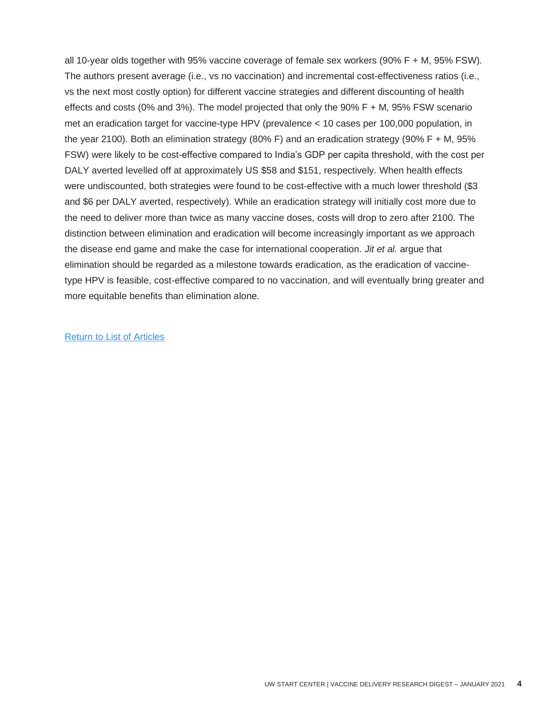all 10-year olds together with 95% vaccine coverage of female sex workers (90% F + M, 95% FSW). The authors present average (i.e., vs no vaccination) and incremental cost-effectiveness ratios (i.e., vs the next most costly option) for different vaccine strategies and different discounting of health effects and costs (0% and 3%). The model projected that only the 90% F + M, 95% FSW scenario met an eradication target for vaccine-type HPV (prevalence < 10 cases per 100,000 population, in the year 2100). Both an elimination strategy (80% F) and an eradication strategy (90% F + M, 95% FSW) were likely to be cost-effective compared to India's GDP per capita threshold, with the cost per DALY averted levelled off at approximately US \$58 and \$151, respectively. When health effects were undiscounted, both strategies were found to be cost-effective with a much lower threshold (\$3 and \$6 per DALY averted, respectively). While an eradication strategy will initially cost more due to the need to deliver more than twice as many vaccine doses, costs will drop to zero after 2100. The distinction between elimination and eradication will become increasingly important as we approach the disease end game and make the case for international cooperation. *Jit et al.* argue that elimination should be regarded as a milestone towards eradication, as the eradication of vaccinetype HPV is feasible, cost-effective compared to no vaccination, and will eventually bring greater and more equitable benefits than elimination alone.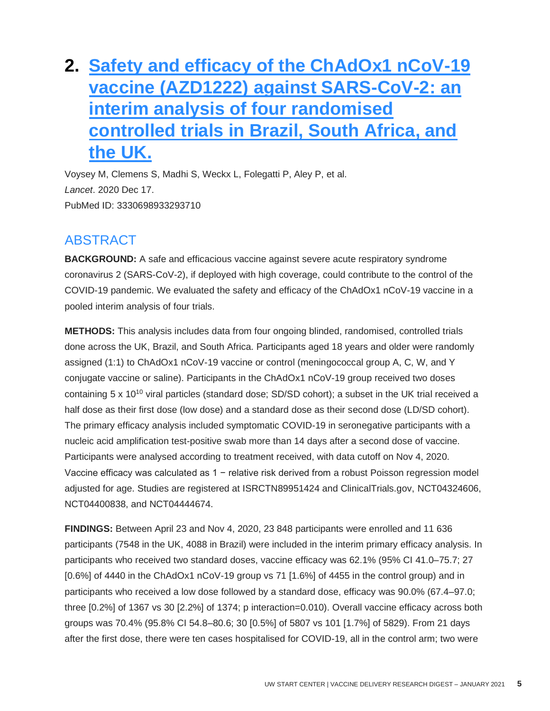## <span id="page-5-0"></span>**2. [Safety and efficacy of the ChAdOx1 nCoV-19](http://doi.org/10.1016/S0140-6736(20)32661-1)  [vaccine \(AZD1222\) against SARS-CoV-2: an](http://doi.org/10.1016/S0140-6736(20)32661-1)  [interim analysis of four randomised](http://doi.org/10.1016/S0140-6736(20)32661-1)  [controlled trials in Brazil, South Africa, and](http://doi.org/10.1016/S0140-6736(20)32661-1)  [the UK.](http://doi.org/10.1016/S0140-6736(20)32661-1)**

Voysey M, Clemens S, Madhi S, Weckx L, Folegatti P, Aley P, et al. *Lancet*. 2020 Dec 17. PubMed ID: 3330698933293710

### ABSTRACT

**BACKGROUND:** A safe and efficacious vaccine against severe acute respiratory syndrome coronavirus 2 (SARS-CoV-2), if deployed with high coverage, could contribute to the control of the COVID-19 pandemic. We evaluated the safety and efficacy of the ChAdOx1 nCoV-19 vaccine in a pooled interim analysis of four trials.

**METHODS:** This analysis includes data from four ongoing blinded, randomised, controlled trials done across the UK, Brazil, and South Africa. Participants aged 18 years and older were randomly assigned (1:1) to ChAdOx1 nCoV-19 vaccine or control (meningococcal group A, C, W, and Y conjugate vaccine or saline). Participants in the ChAdOx1 nCoV-19 group received two doses containing 5 x 10<sup>10</sup> viral particles (standard dose; SD/SD cohort); a subset in the UK trial received a half dose as their first dose (low dose) and a standard dose as their second dose (LD/SD cohort). The primary efficacy analysis included symptomatic COVID-19 in seronegative participants with a nucleic acid amplification test-positive swab more than 14 days after a second dose of vaccine. Participants were analysed according to treatment received, with data cutoff on Nov 4, 2020. Vaccine efficacy was calculated as 1 − relative risk derived from a robust Poisson regression model adjusted for age. Studies are registered at ISRCTN89951424 and ClinicalTrials.gov, NCT04324606, NCT04400838, and NCT04444674.

**FINDINGS:** Between April 23 and Nov 4, 2020, 23 848 participants were enrolled and 11 636 participants (7548 in the UK, 4088 in Brazil) were included in the interim primary efficacy analysis. In participants who received two standard doses, vaccine efficacy was 62.1% (95% CI 41.0–75.7; 27 [0.6%] of 4440 in the ChAdOx1 nCoV-19 group vs 71 [1.6%] of 4455 in the control group) and in participants who received a low dose followed by a standard dose, efficacy was 90.0% (67.4–97.0; three [0.2%] of 1367 vs 30 [2.2%] of 1374; p interaction=0.010). Overall vaccine efficacy across both groups was 70.4% (95.8% CI 54.8–80.6; 30 [0.5%] of 5807 vs 101 [1.7%] of 5829). From 21 days after the first dose, there were ten cases hospitalised for COVID-19, all in the control arm; two were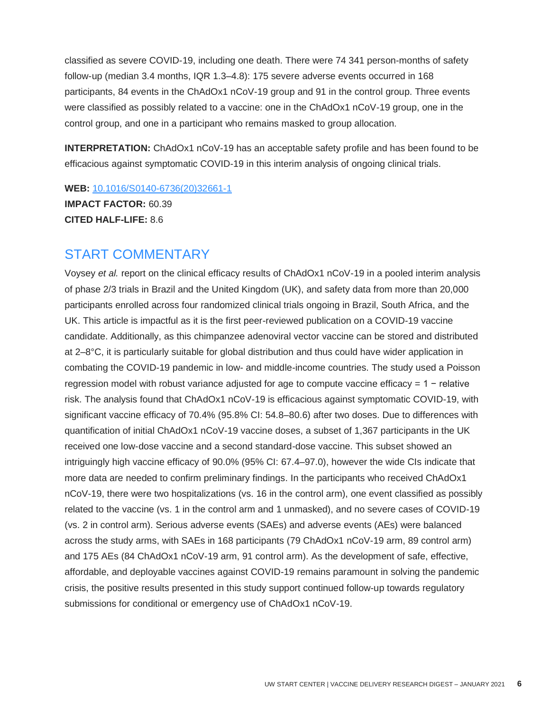classified as severe COVID-19, including one death. There were 74 341 person-months of safety follow-up (median 3.4 months, IQR 1.3–4.8): 175 severe adverse events occurred in 168 participants, 84 events in the ChAdOx1 nCoV-19 group and 91 in the control group. Three events were classified as possibly related to a vaccine: one in the ChAdOx1 nCoV-19 group, one in the control group, and one in a participant who remains masked to group allocation.

**INTERPRETATION:** ChAdOx1 nCoV-19 has an acceptable safety profile and has been found to be efficacious against symptomatic COVID-19 in this interim analysis of ongoing clinical trials.

**WEB:** [10.1016/S0140-6736\(20\)32661-1](http://doi.org/10.1016/S0140-6736(20)32661-1) **IMPACT FACTOR:** 60.39 **CITED HALF-LIFE:** 8.6

#### START COMMENTARY

Voysey *et al.* report on the clinical efficacy results of ChAdOx1 nCoV-19 in a pooled interim analysis of phase 2/3 trials in Brazil and the United Kingdom (UK), and safety data from more than 20,000 participants enrolled across four randomized clinical trials ongoing in Brazil, South Africa, and the UK. This article is impactful as it is the first peer-reviewed publication on a COVID-19 vaccine candidate. Additionally, as this chimpanzee adenoviral vector vaccine can be stored and distributed at 2–8°C, it is particularly suitable for global distribution and thus could have wider application in combating the COVID-19 pandemic in low- and middle-income countries. The study used a Poisson regression model with robust variance adjusted for age to compute vaccine efficacy = 1 − relative risk. The analysis found that ChAdOx1 nCoV-19 is efficacious against symptomatic COVID-19, with significant vaccine efficacy of 70.4% (95.8% CI: 54.8–80.6) after two doses. Due to differences with quantification of initial ChAdOx1 nCoV-19 vaccine doses, a subset of 1,367 participants in the UK received one low-dose vaccine and a second standard-dose vaccine. This subset showed an intriguingly high vaccine efficacy of 90.0% (95% CI: 67.4–97.0), however the wide CIs indicate that more data are needed to confirm preliminary findings. In the participants who received ChAdOx1 nCoV-19, there were two hospitalizations (vs. 16 in the control arm), one event classified as possibly related to the vaccine (vs. 1 in the control arm and 1 unmasked), and no severe cases of COVID-19 (vs. 2 in control arm). Serious adverse events (SAEs) and adverse events (AEs) were balanced across the study arms, with SAEs in 168 participants (79 ChAdOx1 nCoV-19 arm, 89 control arm) and 175 AEs (84 ChAdOx1 nCoV-19 arm, 91 control arm). As the development of safe, effective, affordable, and deployable vaccines against COVID-19 remains paramount in solving the pandemic crisis, the positive results presented in this study support continued follow-up towards regulatory submissions for conditional or emergency use of ChAdOx1 nCoV-19.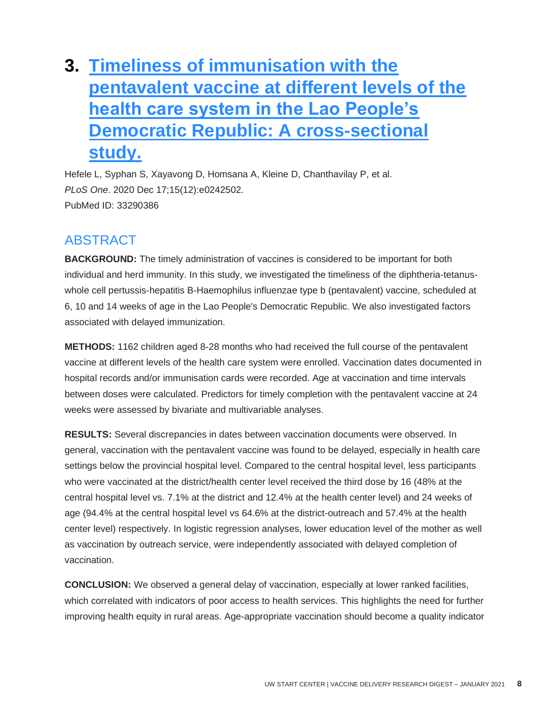## <span id="page-8-0"></span>**3. [Timeliness of immunisation with the](http://doi.org/10.1371/journal.pone.0242502)  [pentavalent vaccine at different levels of the](http://doi.org/10.1371/journal.pone.0242502)  [health care system in the Lao People's](http://doi.org/10.1371/journal.pone.0242502)  [Democratic Republic: A cross-sectional](http://doi.org/10.1371/journal.pone.0242502)  [study.](http://doi.org/10.1371/journal.pone.0242502)**

Hefele L, Syphan S, Xayavong D, Homsana A, Kleine D, Chanthavilay P, et al. *PLoS One*. 2020 Dec 17;15(12):e0242502. PubMed ID: 33290386

### ABSTRACT

**BACKGROUND:** The timely administration of vaccines is considered to be important for both individual and herd immunity. In this study, we investigated the timeliness of the diphtheria-tetanuswhole cell pertussis-hepatitis B-Haemophilus influenzae type b (pentavalent) vaccine, scheduled at 6, 10 and 14 weeks of age in the Lao People's Democratic Republic. We also investigated factors associated with delayed immunization.

**METHODS:** 1162 children aged 8-28 months who had received the full course of the pentavalent vaccine at different levels of the health care system were enrolled. Vaccination dates documented in hospital records and/or immunisation cards were recorded. Age at vaccination and time intervals between doses were calculated. Predictors for timely completion with the pentavalent vaccine at 24 weeks were assessed by bivariate and multivariable analyses.

**RESULTS:** Several discrepancies in dates between vaccination documents were observed. In general, vaccination with the pentavalent vaccine was found to be delayed, especially in health care settings below the provincial hospital level. Compared to the central hospital level, less participants who were vaccinated at the district/health center level received the third dose by 16 (48% at the central hospital level vs. 7.1% at the district and 12.4% at the health center level) and 24 weeks of age (94.4% at the central hospital level vs 64.6% at the district-outreach and 57.4% at the health center level) respectively. In logistic regression analyses, lower education level of the mother as well as vaccination by outreach service, were independently associated with delayed completion of vaccination.

**CONCLUSION:** We observed a general delay of vaccination, especially at lower ranked facilities, which correlated with indicators of poor access to health services. This highlights the need for further improving health equity in rural areas. Age-appropriate vaccination should become a quality indicator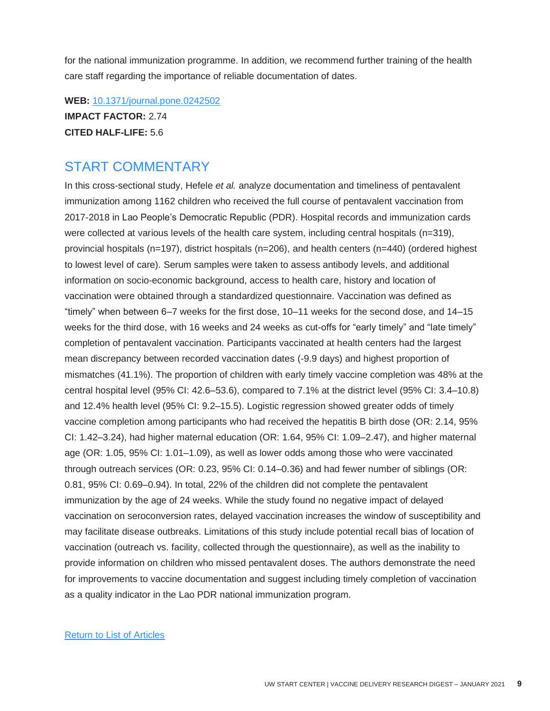for the national immunization programme. In addition, we recommend further training of the health care staff regarding the importance of reliable documentation of dates.

**WEB:** [10.1371/journal.pone.0242502](http://doi.org/10.1371/journal.pone.0242502) **IMPACT FACTOR:** 2.74 **CITED HALF-LIFE:** 5.6

#### START COMMENTARY

In this cross-sectional study, Hefele *et al.* analyze documentation and timeliness of pentavalent immunization among 1162 children who received the full course of pentavalent vaccination from 2017-2018 in Lao People's Democratic Republic (PDR). Hospital records and immunization cards were collected at various levels of the health care system, including central hospitals (n=319), provincial hospitals (n=197), district hospitals (n=206), and health centers (n=440) (ordered highest to lowest level of care). Serum samples were taken to assess antibody levels, and additional information on socio-economic background, access to health care, history and location of vaccination were obtained through a standardized questionnaire. Vaccination was defined as "timely" when between 6–7 weeks for the first dose, 10–11 weeks for the second dose, and 14–15 weeks for the third dose, with 16 weeks and 24 weeks as cut-offs for "early timely" and "late timely" completion of pentavalent vaccination. Participants vaccinated at health centers had the largest mean discrepancy between recorded vaccination dates (-9.9 days) and highest proportion of mismatches (41.1%). The proportion of children with early timely vaccine completion was 48% at the central hospital level (95% CI: 42.6–53.6), compared to 7.1% at the district level (95% CI: 3.4–10.8) and 12.4% health level (95% CI: 9.2–15.5). Logistic regression showed greater odds of timely vaccine completion among participants who had received the hepatitis B birth dose (OR: 2.14, 95% CI: 1.42–3.24), had higher maternal education (OR: 1.64, 95% CI: 1.09–2.47), and higher maternal age (OR: 1.05, 95% CI: 1.01–1.09), as well as lower odds among those who were vaccinated through outreach services (OR: 0.23, 95% CI: 0.14–0.36) and had fewer number of siblings (OR: 0.81, 95% CI: 0.69–0.94). In total, 22% of the children did not complete the pentavalent immunization by the age of 24 weeks. While the study found no negative impact of delayed vaccination on seroconversion rates, delayed vaccination increases the window of susceptibility and may facilitate disease outbreaks. Limitations of this study include potential recall bias of location of vaccination (outreach vs. facility, collected through the questionnaire), as well as the inability to provide information on children who missed pentavalent doses. The authors demonstrate the need for improvements to vaccine documentation and suggest including timely completion of vaccination as a quality indicator in the Lao PDR national immunization program.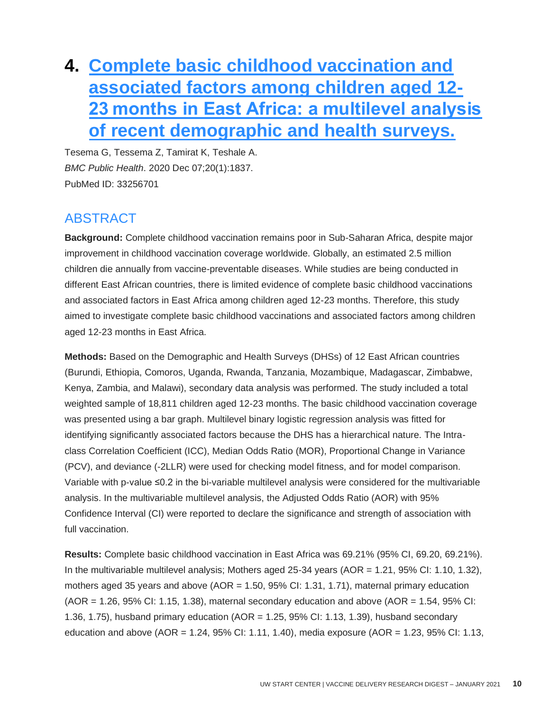## **4. [Complete basic childhood vaccination and](http://doi.org/10.1186/s12889-020-09965-y)  [associated factors among children aged 12-](http://doi.org/10.1186/s12889-020-09965-y) [23 months in East Africa: a multilevel analysis](http://doi.org/10.1186/s12889-020-09965-y)  [of recent demographic and health surveys.](http://doi.org/10.1186/s12889-020-09965-y)**

Tesema G, Tessema Z, Tamirat K, Teshale A. *BMC Public Health*. 2020 Dec 07;20(1):1837. PubMed ID: 33256701

### **ABSTRACT**

**Background:** Complete childhood vaccination remains poor in Sub-Saharan Africa, despite major improvement in childhood vaccination coverage worldwide. Globally, an estimated 2.5 million children die annually from vaccine-preventable diseases. While studies are being conducted in different East African countries, there is limited evidence of complete basic childhood vaccinations and associated factors in East Africa among children aged 12-23 months. Therefore, this study aimed to investigate complete basic childhood vaccinations and associated factors among children aged 12-23 months in East Africa.

**Methods:** Based on the Demographic and Health Surveys (DHSs) of 12 East African countries (Burundi, Ethiopia, Comoros, Uganda, Rwanda, Tanzania, Mozambique, Madagascar, Zimbabwe, Kenya, Zambia, and Malawi), secondary data analysis was performed. The study included a total weighted sample of 18,811 children aged 12-23 months. The basic childhood vaccination coverage was presented using a bar graph. Multilevel binary logistic regression analysis was fitted for identifying significantly associated factors because the DHS has a hierarchical nature. The Intraclass Correlation Coefficient (ICC), Median Odds Ratio (MOR), Proportional Change in Variance (PCV), and deviance (-2LLR) were used for checking model fitness, and for model comparison. Variable with p-value ≤0.2 in the bi-variable multilevel analysis were considered for the multivariable analysis. In the multivariable multilevel analysis, the Adjusted Odds Ratio (AOR) with 95% Confidence Interval (CI) were reported to declare the significance and strength of association with full vaccination.

**Results:** Complete basic childhood vaccination in East Africa was 69.21% (95% CI, 69.20, 69.21%). In the multivariable multilevel analysis; Mothers aged 25-34 years (AOR = 1.21, 95% CI: 1.10, 1.32), mothers aged 35 years and above (AOR = 1.50, 95% CI: 1.31, 1.71), maternal primary education  $(AOR = 1.26, 95\% \text{ Cl}: 1.15, 1.38)$ , maternal secondary education and above  $(AOR = 1.54, 95\% \text{ Cl}: 1.15, 1.38)$ 1.36, 1.75), husband primary education (AOR = 1.25, 95% CI: 1.13, 1.39), husband secondary education and above (AOR = 1.24, 95% CI: 1.11, 1.40), media exposure (AOR = 1.23, 95% CI: 1.13,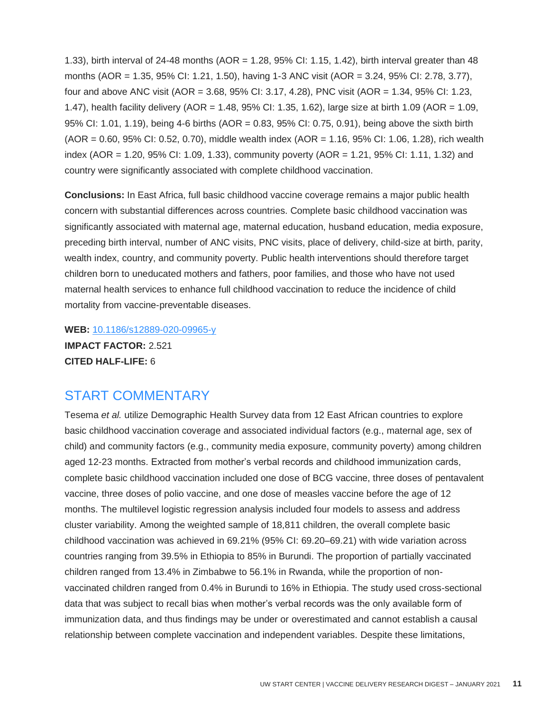1.33), birth interval of 24-48 months (AOR = 1.28, 95% CI: 1.15, 1.42), birth interval greater than 48 months (AOR = 1.35, 95% CI: 1.21, 1.50), having 1-3 ANC visit (AOR = 3.24, 95% CI: 2.78, 3.77), four and above ANC visit (AOR = 3.68, 95% CI: 3.17, 4.28), PNC visit (AOR = 1.34, 95% CI: 1.23, 1.47), health facility delivery (AOR = 1.48, 95% CI: 1.35, 1.62), large size at birth 1.09 (AOR = 1.09, 95% CI: 1.01, 1.19), being 4-6 births (AOR = 0.83, 95% CI: 0.75, 0.91), being above the sixth birth (AOR = 0.60, 95% CI: 0.52, 0.70), middle wealth index (AOR = 1.16, 95% CI: 1.06, 1.28), rich wealth index (AOR = 1.20, 95% CI: 1.09, 1.33), community poverty (AOR = 1.21, 95% CI: 1.11, 1.32) and country were significantly associated with complete childhood vaccination.

**Conclusions:** In East Africa, full basic childhood vaccine coverage remains a major public health concern with substantial differences across countries. Complete basic childhood vaccination was significantly associated with maternal age, maternal education, husband education, media exposure, preceding birth interval, number of ANC visits, PNC visits, place of delivery, child-size at birth, parity, wealth index, country, and community poverty. Public health interventions should therefore target children born to uneducated mothers and fathers, poor families, and those who have not used maternal health services to enhance full childhood vaccination to reduce the incidence of child mortality from vaccine-preventable diseases.

**WEB:** [10.1186/s12889-020-09965-y](http://doi.org/10.1186/s12889-020-09965-y) **IMPACT FACTOR:** 2.521 **CITED HALF-LIFE:** 6

### START COMMENTARY

Tesema *et al.* utilize Demographic Health Survey data from 12 East African countries to explore basic childhood vaccination coverage and associated individual factors (e.g., maternal age, sex of child) and community factors (e.g., community media exposure, community poverty) among children aged 12-23 months. Extracted from mother's verbal records and childhood immunization cards, complete basic childhood vaccination included one dose of BCG vaccine, three doses of pentavalent vaccine, three doses of polio vaccine, and one dose of measles vaccine before the age of 12 months. The multilevel logistic regression analysis included four models to assess and address cluster variability. Among the weighted sample of 18,811 children, the overall complete basic childhood vaccination was achieved in 69.21% (95% CI: 69.20–69.21) with wide variation across countries ranging from 39.5% in Ethiopia to 85% in Burundi. The proportion of partially vaccinated children ranged from 13.4% in Zimbabwe to 56.1% in Rwanda, while the proportion of nonvaccinated children ranged from 0.4% in Burundi to 16% in Ethiopia. The study used cross-sectional data that was subject to recall bias when mother's verbal records was the only available form of immunization data, and thus findings may be under or overestimated and cannot establish a causal relationship between complete vaccination and independent variables. Despite these limitations,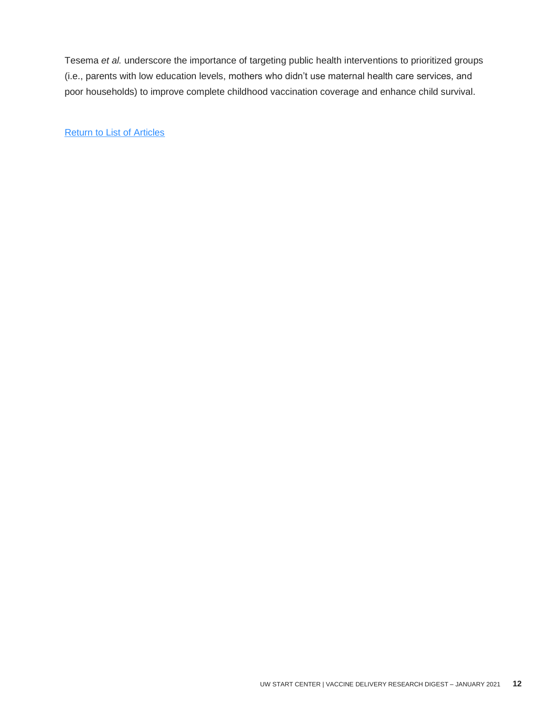Tesema *et al.* underscore the importance of targeting public health interventions to prioritized groups (i.e., parents with low education levels, mothers who didn't use maternal health care services, and poor households) to improve complete childhood vaccination coverage and enhance child survival.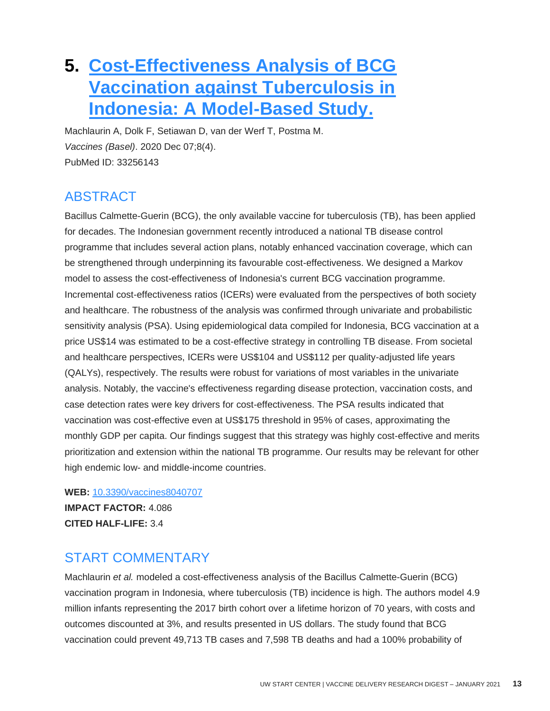### <span id="page-13-0"></span>**5. [Cost-Effectiveness Analysis of BCG](http://doi.org/10.3390/vaccines8040707)  [Vaccination against Tuberculosis in](http://doi.org/10.3390/vaccines8040707)  [Indonesia: A Model-Based Study.](http://doi.org/10.3390/vaccines8040707)**

Machlaurin A, Dolk F, Setiawan D, van der Werf T, Postma M. *Vaccines (Basel)*. 2020 Dec 07;8(4). PubMed ID: 33256143

### ABSTRACT

Bacillus Calmette-Guerin (BCG), the only available vaccine for tuberculosis (TB), has been applied for decades. The Indonesian government recently introduced a national TB disease control programme that includes several action plans, notably enhanced vaccination coverage, which can be strengthened through underpinning its favourable cost-effectiveness. We designed a Markov model to assess the cost-effectiveness of Indonesia's current BCG vaccination programme. Incremental cost-effectiveness ratios (ICERs) were evaluated from the perspectives of both society and healthcare. The robustness of the analysis was confirmed through univariate and probabilistic sensitivity analysis (PSA). Using epidemiological data compiled for Indonesia, BCG vaccination at a price US\$14 was estimated to be a cost-effective strategy in controlling TB disease. From societal and healthcare perspectives, ICERs were US\$104 and US\$112 per quality-adjusted life years (QALYs), respectively. The results were robust for variations of most variables in the univariate analysis. Notably, the vaccine's effectiveness regarding disease protection, vaccination costs, and case detection rates were key drivers for cost-effectiveness. The PSA results indicated that vaccination was cost-effective even at US\$175 threshold in 95% of cases, approximating the monthly GDP per capita. Our findings suggest that this strategy was highly cost-effective and merits prioritization and extension within the national TB programme. Our results may be relevant for other high endemic low- and middle-income countries.

**WEB:** [10.3390/vaccines8040707](http://doi.org/10.3390/vaccines8040707) **IMPACT FACTOR:** 4.086 **CITED HALF-LIFE:** 3.4

### START COMMENTARY

Machlaurin *et al.* modeled a cost-effectiveness analysis of the Bacillus Calmette-Guerin (BCG) vaccination program in Indonesia, where tuberculosis (TB) incidence is high. The authors model 4.9 million infants representing the 2017 birth cohort over a lifetime horizon of 70 years, with costs and outcomes discounted at 3%, and results presented in US dollars. The study found that BCG vaccination could prevent 49,713 TB cases and 7,598 TB deaths and had a 100% probability of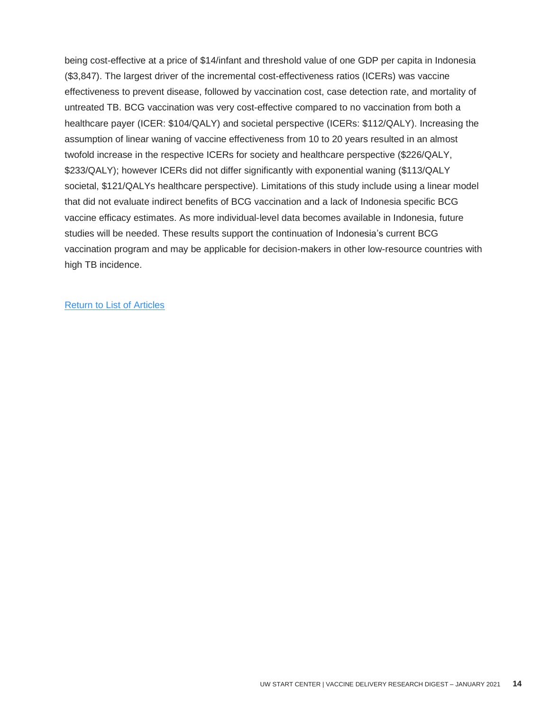being cost-effective at a price of \$14/infant and threshold value of one GDP per capita in Indonesia (\$3,847). The largest driver of the incremental cost-effectiveness ratios (ICERs) was vaccine effectiveness to prevent disease, followed by vaccination cost, case detection rate, and mortality of untreated TB. BCG vaccination was very cost-effective compared to no vaccination from both a healthcare payer (ICER: \$104/QALY) and societal perspective (ICERs: \$112/QALY). Increasing the assumption of linear waning of vaccine effectiveness from 10 to 20 years resulted in an almost twofold increase in the respective ICERs for society and healthcare perspective (\$226/QALY, \$233/QALY); however ICERs did not differ significantly with exponential waning (\$113/QALY societal, \$121/QALYs healthcare perspective). Limitations of this study include using a linear model that did not evaluate indirect benefits of BCG vaccination and a lack of Indonesia specific BCG vaccine efficacy estimates. As more individual-level data becomes available in Indonesia, future studies will be needed. These results support the continuation of Indonesia's current BCG vaccination program and may be applicable for decision-makers in other low-resource countries with high TB incidence.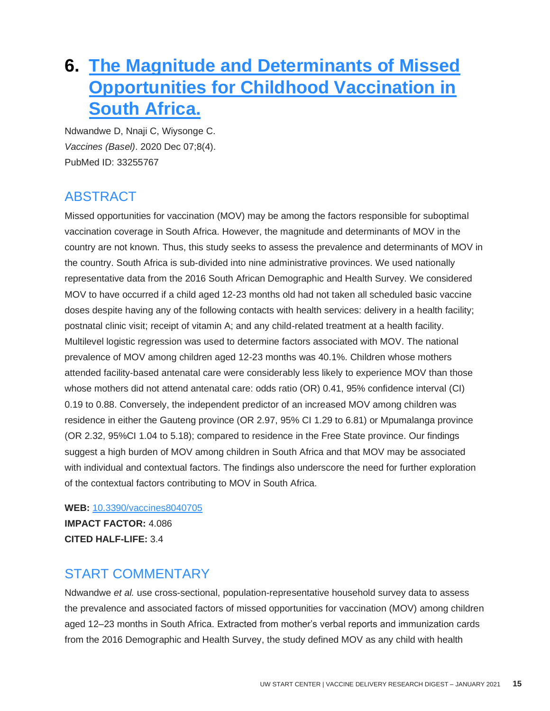### <span id="page-15-0"></span>**6. [The Magnitude and Determinants of Missed](http://doi.org/10.3390/vaccines8040705)  Opportunities for Childhood Vaccination in [South Africa.](http://doi.org/10.3390/vaccines8040705)**

Ndwandwe D, Nnaji C, Wiysonge C. *Vaccines (Basel)*. 2020 Dec 07;8(4). PubMed ID: 33255767

### ABSTRACT

Missed opportunities for vaccination (MOV) may be among the factors responsible for suboptimal vaccination coverage in South Africa. However, the magnitude and determinants of MOV in the country are not known. Thus, this study seeks to assess the prevalence and determinants of MOV in the country. South Africa is sub-divided into nine administrative provinces. We used nationally representative data from the 2016 South African Demographic and Health Survey. We considered MOV to have occurred if a child aged 12-23 months old had not taken all scheduled basic vaccine doses despite having any of the following contacts with health services: delivery in a health facility; postnatal clinic visit; receipt of vitamin A; and any child-related treatment at a health facility. Multilevel logistic regression was used to determine factors associated with MOV. The national prevalence of MOV among children aged 12-23 months was 40.1%. Children whose mothers attended facility-based antenatal care were considerably less likely to experience MOV than those whose mothers did not attend antenatal care: odds ratio (OR) 0.41, 95% confidence interval (CI) 0.19 to 0.88. Conversely, the independent predictor of an increased MOV among children was residence in either the Gauteng province (OR 2.97, 95% CI 1.29 to 6.81) or Mpumalanga province (OR 2.32, 95%CI 1.04 to 5.18); compared to residence in the Free State province. Our findings suggest a high burden of MOV among children in South Africa and that MOV may be associated with individual and contextual factors. The findings also underscore the need for further exploration of the contextual factors contributing to MOV in South Africa.

**WEB:** [10.3390/vaccines8040705](http://doi.org/10.3390/vaccines8040705)

**IMPACT FACTOR:** 4.086 **CITED HALF-LIFE:** 3.4

### START COMMENTARY

Ndwandwe *et al.* use cross-sectional, population-representative household survey data to assess the prevalence and associated factors of missed opportunities for vaccination (MOV) among children aged 12–23 months in South Africa. Extracted from mother's verbal reports and immunization cards from the 2016 Demographic and Health Survey, the study defined MOV as any child with health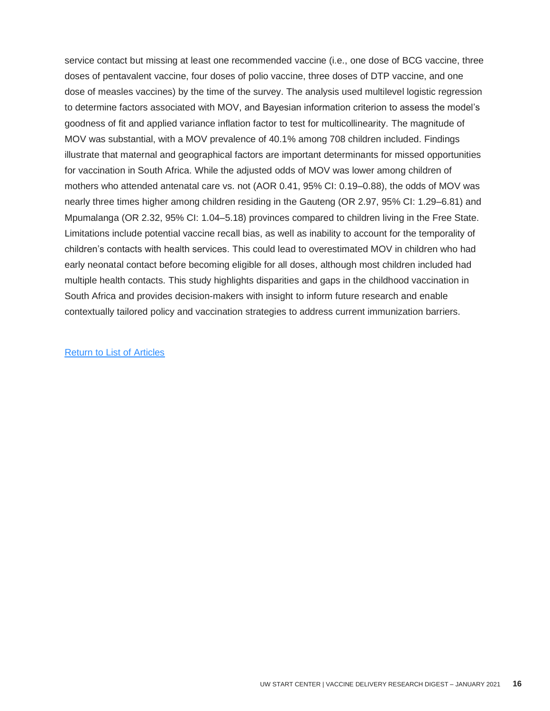service contact but missing at least one recommended vaccine (i.e., one dose of BCG vaccine, three doses of pentavalent vaccine, four doses of polio vaccine, three doses of DTP vaccine, and one dose of measles vaccines) by the time of the survey. The analysis used multilevel logistic regression to determine factors associated with MOV, and Bayesian information criterion to assess the model's goodness of fit and applied variance inflation factor to test for multicollinearity. The magnitude of MOV was substantial, with a MOV prevalence of 40.1% among 708 children included. Findings illustrate that maternal and geographical factors are important determinants for missed opportunities for vaccination in South Africa. While the adjusted odds of MOV was lower among children of mothers who attended antenatal care vs. not (AOR 0.41, 95% CI: 0.19–0.88), the odds of MOV was nearly three times higher among children residing in the Gauteng (OR 2.97, 95% CI: 1.29–6.81) and Mpumalanga (OR 2.32, 95% CI: 1.04–5.18) provinces compared to children living in the Free State. Limitations include potential vaccine recall bias, as well as inability to account for the temporality of children's contacts with health services. This could lead to overestimated MOV in children who had early neonatal contact before becoming eligible for all doses, although most children included had multiple health contacts. This study highlights disparities and gaps in the childhood vaccination in South Africa and provides decision-makers with insight to inform future research and enable contextually tailored policy and vaccination strategies to address current immunization barriers.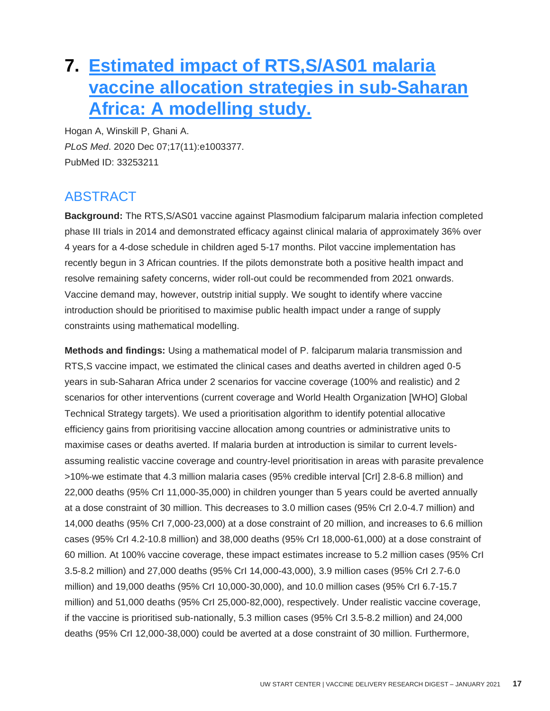### <span id="page-17-0"></span>**7. [Estimated impact of RTS,S/AS01 malaria](http://doi.org/10.1371/journal.pmed.1003377)  [vaccine allocation strategies in sub-Saharan](http://doi.org/10.1371/journal.pmed.1003377)  [Africa: A modelling study.](http://doi.org/10.1371/journal.pmed.1003377)**

Hogan A, Winskill P, Ghani A. *PLoS Med*. 2020 Dec 07;17(11):e1003377. PubMed ID: 33253211

### ABSTRACT

**Background:** The RTS,S/AS01 vaccine against Plasmodium falciparum malaria infection completed phase III trials in 2014 and demonstrated efficacy against clinical malaria of approximately 36% over 4 years for a 4-dose schedule in children aged 5-17 months. Pilot vaccine implementation has recently begun in 3 African countries. If the pilots demonstrate both a positive health impact and resolve remaining safety concerns, wider roll-out could be recommended from 2021 onwards. Vaccine demand may, however, outstrip initial supply. We sought to identify where vaccine introduction should be prioritised to maximise public health impact under a range of supply constraints using mathematical modelling.

**Methods and findings:** Using a mathematical model of P. falciparum malaria transmission and RTS,S vaccine impact, we estimated the clinical cases and deaths averted in children aged 0-5 years in sub-Saharan Africa under 2 scenarios for vaccine coverage (100% and realistic) and 2 scenarios for other interventions (current coverage and World Health Organization [WHO] Global Technical Strategy targets). We used a prioritisation algorithm to identify potential allocative efficiency gains from prioritising vaccine allocation among countries or administrative units to maximise cases or deaths averted. If malaria burden at introduction is similar to current levelsassuming realistic vaccine coverage and country-level prioritisation in areas with parasite prevalence >10%-we estimate that 4.3 million malaria cases (95% credible interval [CrI] 2.8-6.8 million) and 22,000 deaths (95% CrI 11,000-35,000) in children younger than 5 years could be averted annually at a dose constraint of 30 million. This decreases to 3.0 million cases (95% CrI 2.0-4.7 million) and 14,000 deaths (95% CrI 7,000-23,000) at a dose constraint of 20 million, and increases to 6.6 million cases (95% CrI 4.2-10.8 million) and 38,000 deaths (95% CrI 18,000-61,000) at a dose constraint of 60 million. At 100% vaccine coverage, these impact estimates increase to 5.2 million cases (95% CrI 3.5-8.2 million) and 27,000 deaths (95% CrI 14,000-43,000), 3.9 million cases (95% CrI 2.7-6.0 million) and 19,000 deaths (95% CrI 10,000-30,000), and 10.0 million cases (95% CrI 6.7-15.7 million) and 51,000 deaths (95% CrI 25,000-82,000), respectively. Under realistic vaccine coverage, if the vaccine is prioritised sub-nationally, 5.3 million cases (95% CrI 3.5-8.2 million) and 24,000 deaths (95% CrI 12,000-38,000) could be averted at a dose constraint of 30 million. Furthermore,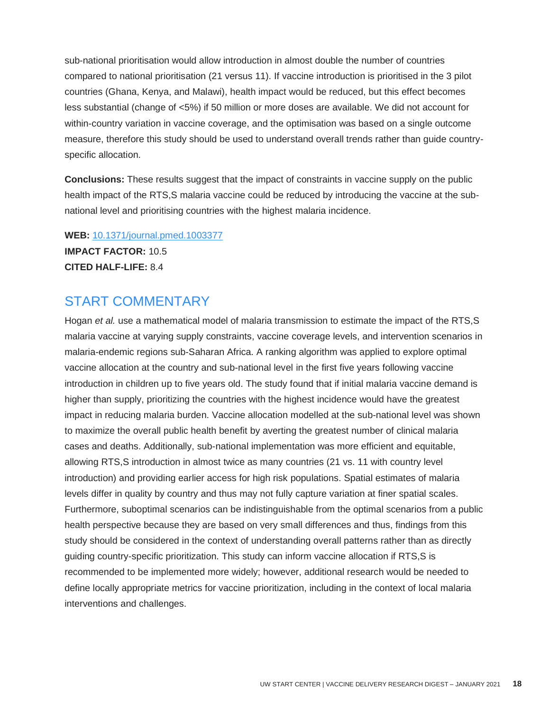sub-national prioritisation would allow introduction in almost double the number of countries compared to national prioritisation (21 versus 11). If vaccine introduction is prioritised in the 3 pilot countries (Ghana, Kenya, and Malawi), health impact would be reduced, but this effect becomes less substantial (change of <5%) if 50 million or more doses are available. We did not account for within-country variation in vaccine coverage, and the optimisation was based on a single outcome measure, therefore this study should be used to understand overall trends rather than guide countryspecific allocation.

**Conclusions:** These results suggest that the impact of constraints in vaccine supply on the public health impact of the RTS,S malaria vaccine could be reduced by introducing the vaccine at the subnational level and prioritising countries with the highest malaria incidence.

**WEB:** [10.1371/journal.pmed.1003377](http://doi.org/10.1371/journal.pmed.1003377)

**IMPACT FACTOR:** 10.5 **CITED HALF-LIFE:** 8.4

#### START COMMENTARY

Hogan *et al.* use a mathematical model of malaria transmission to estimate the impact of the RTS,S malaria vaccine at varying supply constraints, vaccine coverage levels, and intervention scenarios in malaria-endemic regions sub-Saharan Africa. A ranking algorithm was applied to explore optimal vaccine allocation at the country and sub-national level in the first five years following vaccine introduction in children up to five years old. The study found that if initial malaria vaccine demand is higher than supply, prioritizing the countries with the highest incidence would have the greatest impact in reducing malaria burden. Vaccine allocation modelled at the sub-national level was shown to maximize the overall public health benefit by averting the greatest number of clinical malaria cases and deaths. Additionally, sub-national implementation was more efficient and equitable, allowing RTS,S introduction in almost twice as many countries (21 vs. 11 with country level introduction) and providing earlier access for high risk populations. Spatial estimates of malaria levels differ in quality by country and thus may not fully capture variation at finer spatial scales. Furthermore, suboptimal scenarios can be indistinguishable from the optimal scenarios from a public health perspective because they are based on very small differences and thus, findings from this study should be considered in the context of understanding overall patterns rather than as directly guiding country-specific prioritization. This study can inform vaccine allocation if RTS,S is recommended to be implemented more widely; however, additional research would be needed to define locally appropriate metrics for vaccine prioritization, including in the context of local malaria interventions and challenges.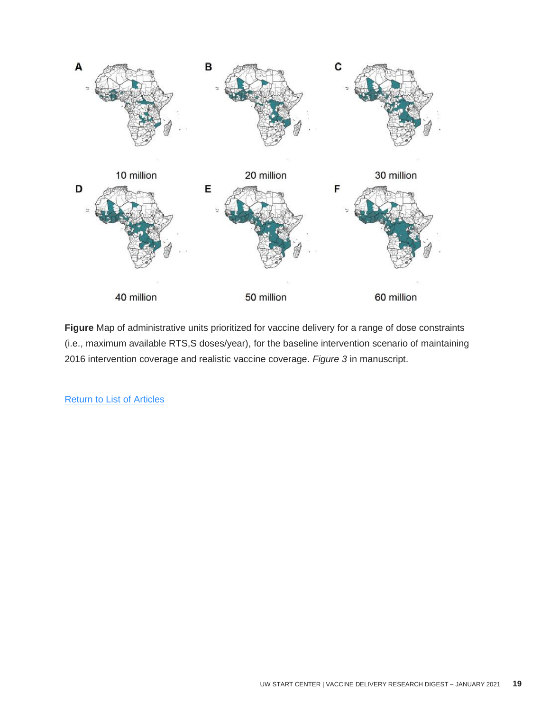

**Figure** Map of administrative units prioritized for vaccine delivery for a range of dose constraints (i.e., maximum available RTS,S doses/year), for the baseline intervention scenario of maintaining 2016 intervention coverage and realistic vaccine coverage. *Figure 3* in manuscript.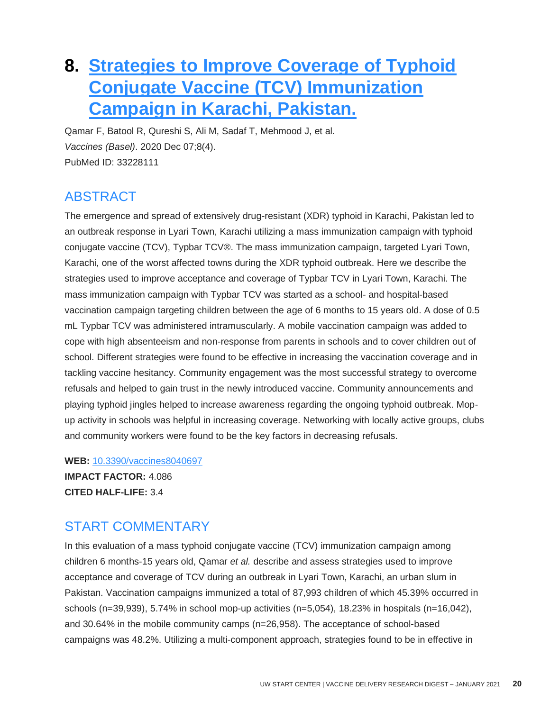### <span id="page-20-0"></span>**8. [Strategies to Improve Coverage of Typhoid](http://doi.org/10.3390/vaccines8040697)  [Conjugate Vaccine \(TCV\) Immunization](http://doi.org/10.3390/vaccines8040697)  [Campaign in Karachi, Pakistan.](http://doi.org/10.3390/vaccines8040697)**

Qamar F, Batool R, Qureshi S, Ali M, Sadaf T, Mehmood J, et al. *Vaccines (Basel)*. 2020 Dec 07;8(4). PubMed ID: 33228111

### ABSTRACT

The emergence and spread of extensively drug-resistant (XDR) typhoid in Karachi, Pakistan led to an outbreak response in Lyari Town, Karachi utilizing a mass immunization campaign with typhoid conjugate vaccine (TCV), Typbar TCV®. The mass immunization campaign, targeted Lyari Town, Karachi, one of the worst affected towns during the XDR typhoid outbreak. Here we describe the strategies used to improve acceptance and coverage of Typbar TCV in Lyari Town, Karachi. The mass immunization campaign with Typbar TCV was started as a school- and hospital-based vaccination campaign targeting children between the age of 6 months to 15 years old. A dose of 0.5 mL Typbar TCV was administered intramuscularly. A mobile vaccination campaign was added to cope with high absenteeism and non-response from parents in schools and to cover children out of school. Different strategies were found to be effective in increasing the vaccination coverage and in tackling vaccine hesitancy. Community engagement was the most successful strategy to overcome refusals and helped to gain trust in the newly introduced vaccine. Community announcements and playing typhoid jingles helped to increase awareness regarding the ongoing typhoid outbreak. Mopup activity in schools was helpful in increasing coverage. Networking with locally active groups, clubs and community workers were found to be the key factors in decreasing refusals.

**WEB:** [10.3390/vaccines8040697](http://doi.org/10.3390/vaccines8040697) **IMPACT FACTOR:** 4.086 **CITED HALF-LIFE:** 3.4

### START COMMENTARY

In this evaluation of a mass typhoid conjugate vaccine (TCV) immunization campaign among children 6 months-15 years old, Qamar *et al.* describe and assess strategies used to improve acceptance and coverage of TCV during an outbreak in Lyari Town, Karachi, an urban slum in Pakistan. Vaccination campaigns immunized a total of 87,993 children of which 45.39% occurred in schools (n=39,939), 5.74% in school mop-up activities (n=5,054), 18.23% in hospitals (n=16,042), and 30.64% in the mobile community camps (n=26,958). The acceptance of school-based campaigns was 48.2%. Utilizing a multi-component approach, strategies found to be in effective in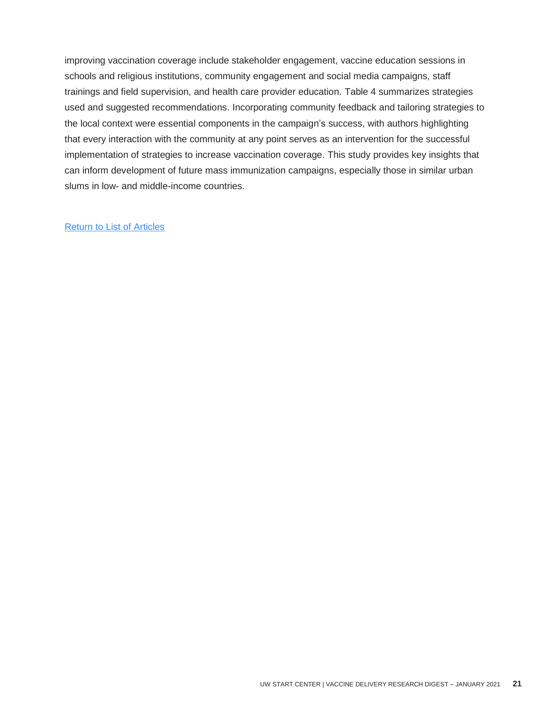improving vaccination coverage include stakeholder engagement, vaccine education sessions in schools and religious institutions, community engagement and social media campaigns, staff trainings and field supervision, and health care provider education. Table 4 summarizes strategies used and suggested recommendations. Incorporating community feedback and tailoring strategies to the local context were essential components in the campaign's success, with authors highlighting that every interaction with the community at any point serves as an intervention for the successful implementation of strategies to increase vaccination coverage. This study provides key insights that can inform development of future mass immunization campaigns, especially those in similar urban slums in low- and middle-income countries.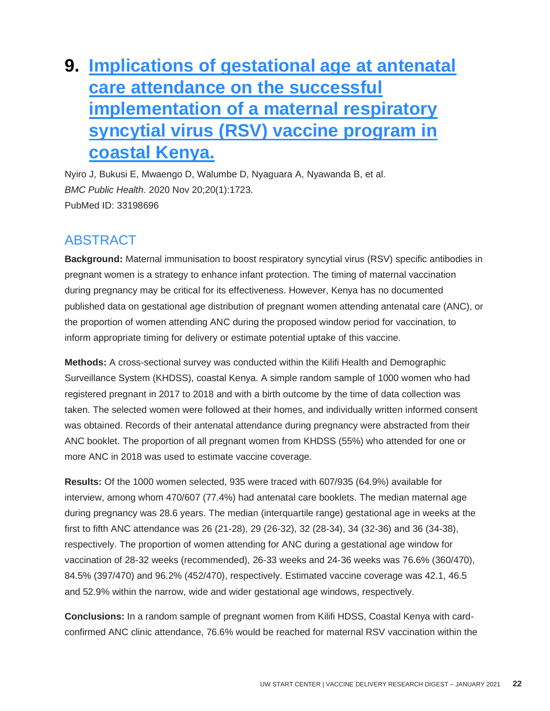## <span id="page-22-0"></span>**9. [Implications of gestational age at antenatal](http://doi.org/10.1186/s12889-020-09841-9)  [care attendance on the successful](http://doi.org/10.1186/s12889-020-09841-9)  [implementation of a maternal respiratory](http://doi.org/10.1186/s12889-020-09841-9)  [syncytial virus \(RSV\) vaccine program in](http://doi.org/10.1186/s12889-020-09841-9)  [coastal Kenya.](http://doi.org/10.1186/s12889-020-09841-9)**

Nyiro J, Bukusi E, Mwaengo D, Walumbe D, Nyaguara A, Nyawanda B, et al. *BMC Public Health*. 2020 Nov 20;20(1):1723. PubMed ID: 33198696

### ABSTRACT

**Background:** Maternal immunisation to boost respiratory syncytial virus (RSV) specific antibodies in pregnant women is a strategy to enhance infant protection. The timing of maternal vaccination during pregnancy may be critical for its effectiveness. However, Kenya has no documented published data on gestational age distribution of pregnant women attending antenatal care (ANC), or the proportion of women attending ANC during the proposed window period for vaccination, to inform appropriate timing for delivery or estimate potential uptake of this vaccine.

**Methods:** A cross-sectional survey was conducted within the Kilifi Health and Demographic Surveillance System (KHDSS), coastal Kenya. A simple random sample of 1000 women who had registered pregnant in 2017 to 2018 and with a birth outcome by the time of data collection was taken. The selected women were followed at their homes, and individually written informed consent was obtained. Records of their antenatal attendance during pregnancy were abstracted from their ANC booklet. The proportion of all pregnant women from KHDSS (55%) who attended for one or more ANC in 2018 was used to estimate vaccine coverage.

**Results:** Of the 1000 women selected, 935 were traced with 607/935 (64.9%) available for interview, among whom 470/607 (77.4%) had antenatal care booklets. The median maternal age during pregnancy was 28.6 years. The median (interquartile range) gestational age in weeks at the first to fifth ANC attendance was 26 (21-28), 29 (26-32), 32 (28-34), 34 (32-36) and 36 (34-38), respectively. The proportion of women attending for ANC during a gestational age window for vaccination of 28-32 weeks (recommended), 26-33 weeks and 24-36 weeks was 76.6% (360/470), 84.5% (397/470) and 96.2% (452/470), respectively. Estimated vaccine coverage was 42.1, 46.5 and 52.9% within the narrow, wide and wider gestational age windows, respectively.

**Conclusions:** In a random sample of pregnant women from Kilifi HDSS, Coastal Kenya with cardconfirmed ANC clinic attendance, 76.6% would be reached for maternal RSV vaccination within the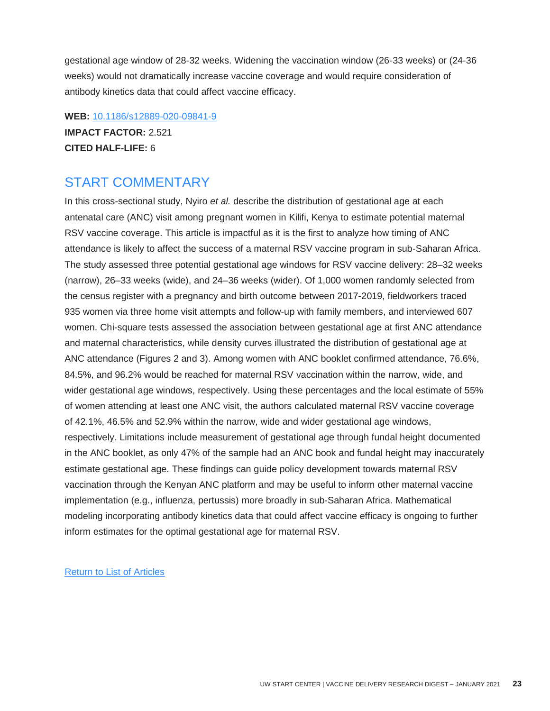gestational age window of 28-32 weeks. Widening the vaccination window (26-33 weeks) or (24-36 weeks) would not dramatically increase vaccine coverage and would require consideration of antibody kinetics data that could affect vaccine efficacy.

**WEB:** [10.1186/s12889-020-09841-9](http://doi.org/10.1186/s12889-020-09841-9) **IMPACT FACTOR:** 2.521 **CITED HALF-LIFE:** 6

### START COMMENTARY

In this cross-sectional study, Nyiro *et al.* describe the distribution of gestational age at each antenatal care (ANC) visit among pregnant women in Kilifi, Kenya to estimate potential maternal RSV vaccine coverage. This article is impactful as it is the first to analyze how timing of ANC attendance is likely to affect the success of a maternal RSV vaccine program in sub-Saharan Africa. The study assessed three potential gestational age windows for RSV vaccine delivery: 28–32 weeks (narrow), 26–33 weeks (wide), and 24–36 weeks (wider). Of 1,000 women randomly selected from the census register with a pregnancy and birth outcome between 2017-2019, fieldworkers traced 935 women via three home visit attempts and follow-up with family members, and interviewed 607 women. Chi-square tests assessed the association between gestational age at first ANC attendance and maternal characteristics, while density curves illustrated the distribution of gestational age at ANC attendance (Figures 2 and 3). Among women with ANC booklet confirmed attendance, 76.6%, 84.5%, and 96.2% would be reached for maternal RSV vaccination within the narrow, wide, and wider gestational age windows, respectively. Using these percentages and the local estimate of 55% of women attending at least one ANC visit, the authors calculated maternal RSV vaccine coverage of 42.1%, 46.5% and 52.9% within the narrow, wide and wider gestational age windows, respectively. Limitations include measurement of gestational age through fundal height documented in the ANC booklet, as only 47% of the sample had an ANC book and fundal height may inaccurately estimate gestational age. These findings can guide policy development towards maternal RSV vaccination through the Kenyan ANC platform and may be useful to inform other maternal vaccine implementation (e.g., influenza, pertussis) more broadly in sub-Saharan Africa. Mathematical modeling incorporating antibody kinetics data that could affect vaccine efficacy is ongoing to further inform estimates for the optimal gestational age for maternal RSV.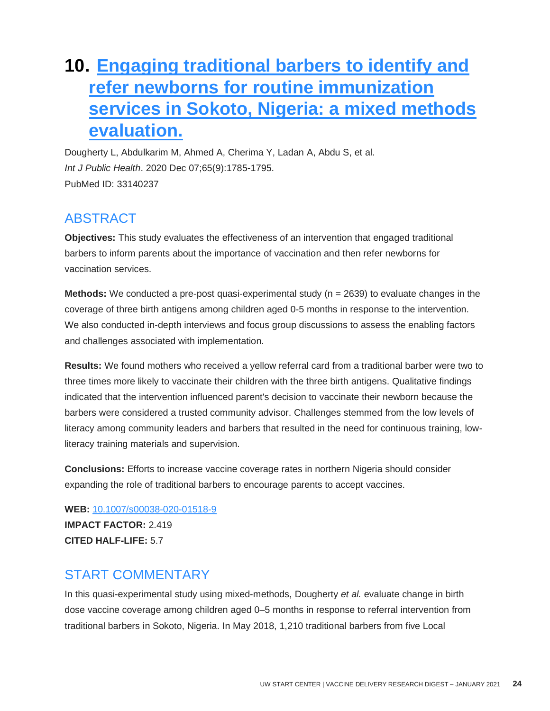### **10. [Engaging traditional barbers to identify and](http://doi.org/10.1007/s00038-020-01518-9)  [refer newborns for routine immunization](http://doi.org/10.1007/s00038-020-01518-9)  [services in Sokoto, Nigeria: a mixed methods](http://doi.org/10.1007/s00038-020-01518-9)  [evaluation.](http://doi.org/10.1007/s00038-020-01518-9)**

Dougherty L, Abdulkarim M, Ahmed A, Cherima Y, Ladan A, Abdu S, et al. *Int J Public Health*. 2020 Dec 07;65(9):1785-1795. PubMed ID: 33140237

### ABSTRACT

**Objectives:** This study evaluates the effectiveness of an intervention that engaged traditional barbers to inform parents about the importance of vaccination and then refer newborns for vaccination services.

**Methods:** We conducted a pre-post quasi-experimental study (n = 2639) to evaluate changes in the coverage of three birth antigens among children aged 0-5 months in response to the intervention. We also conducted in-depth interviews and focus group discussions to assess the enabling factors and challenges associated with implementation.

**Results:** We found mothers who received a yellow referral card from a traditional barber were two to three times more likely to vaccinate their children with the three birth antigens. Qualitative findings indicated that the intervention influenced parent's decision to vaccinate their newborn because the barbers were considered a trusted community advisor. Challenges stemmed from the low levels of literacy among community leaders and barbers that resulted in the need for continuous training, lowliteracy training materials and supervision.

**Conclusions:** Efforts to increase vaccine coverage rates in northern Nigeria should consider expanding the role of traditional barbers to encourage parents to accept vaccines.

**WEB:** [10.1007/s00038-020-01518-9](http://doi.org/10.1007/s00038-020-01518-9) **IMPACT FACTOR:** 2.419 **CITED HALF-LIFE:** 5.7

### START COMMENTARY

In this quasi-experimental study using mixed-methods, Dougherty *et al.* evaluate change in birth dose vaccine coverage among children aged 0–5 months in response to referral intervention from traditional barbers in Sokoto, Nigeria. In May 2018, 1,210 traditional barbers from five Local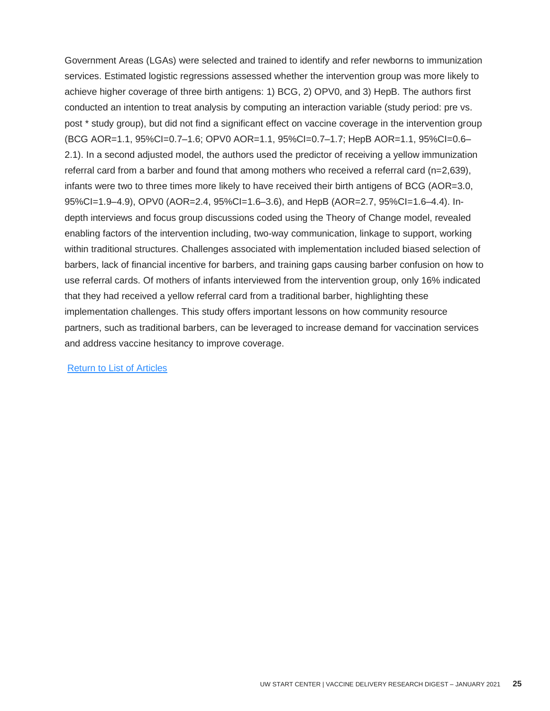Government Areas (LGAs) were selected and trained to identify and refer newborns to immunization services. Estimated logistic regressions assessed whether the intervention group was more likely to achieve higher coverage of three birth antigens: 1) BCG, 2) OPV0, and 3) HepB. The authors first conducted an intention to treat analysis by computing an interaction variable (study period: pre vs. post \* study group), but did not find a significant effect on vaccine coverage in the intervention group (BCG AOR=1.1, 95%CI=0.7–1.6; OPV0 AOR=1.1, 95%CI=0.7–1.7; HepB AOR=1.1, 95%CI=0.6– 2.1). In a second adjusted model, the authors used the predictor of receiving a yellow immunization referral card from a barber and found that among mothers who received a referral card (n=2,639), infants were two to three times more likely to have received their birth antigens of BCG (AOR=3.0, 95%CI=1.9–4.9), OPV0 (AOR=2.4, 95%CI=1.6–3.6), and HepB (AOR=2.7, 95%CI=1.6–4.4). Indepth interviews and focus group discussions coded using the Theory of Change model, revealed enabling factors of the intervention including, two-way communication, linkage to support, working within traditional structures. Challenges associated with implementation included biased selection of barbers, lack of financial incentive for barbers, and training gaps causing barber confusion on how to use referral cards. Of mothers of infants interviewed from the intervention group, only 16% indicated that they had received a yellow referral card from a traditional barber, highlighting these implementation challenges. This study offers important lessons on how community resource partners, such as traditional barbers, can be leveraged to increase demand for vaccination services and address vaccine hesitancy to improve coverage.